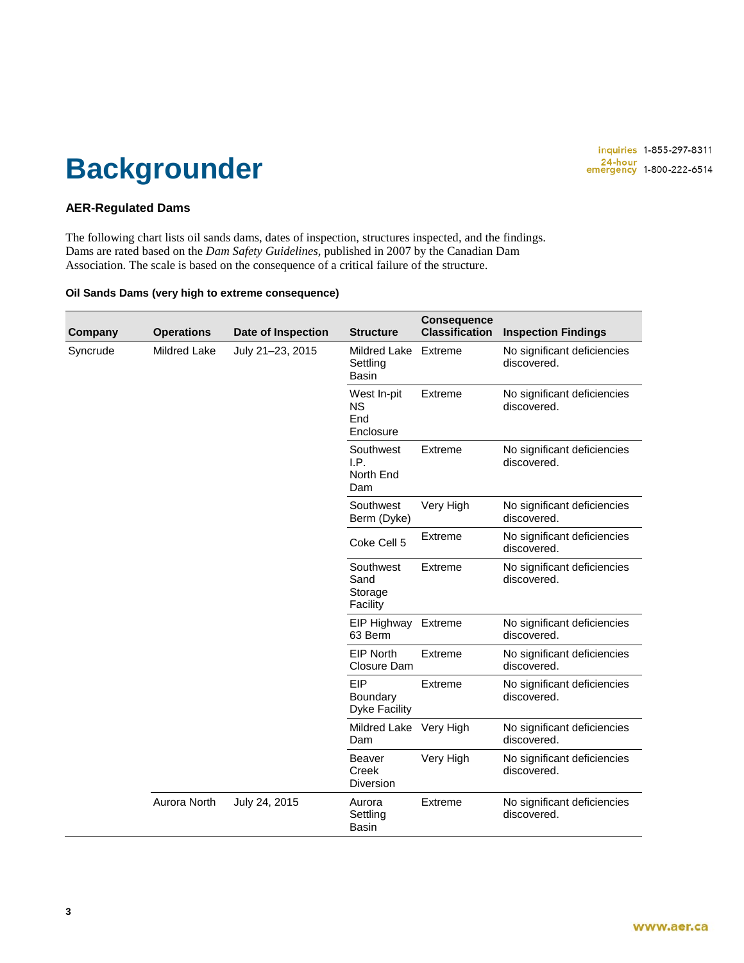### **Backgrounder**

#### **AER-Regulated Dams**

The following chart lists oil sands dams, dates of inspection, structures inspected, and the findings. Dams are rated based on the *Dam Safety Guidelines*, published in 2007 by the Canadian Dam Association. The scale is based on the consequence of a critical failure of the structure.

#### **Oil Sands Dams (very high to extreme consequence)**

| Company  | <b>Operations</b> | Date of Inspection | <b>Structure</b>                                | <b>Consequence</b><br><b>Classification</b> | <b>Inspection Findings</b>                 |
|----------|-------------------|--------------------|-------------------------------------------------|---------------------------------------------|--------------------------------------------|
| Syncrude | Mildred Lake      | July 21-23, 2015   | <b>Mildred Lake</b><br>Settling<br><b>Basin</b> | Extreme                                     | No significant deficiencies<br>discovered. |
|          |                   |                    | West In-pit<br><b>NS</b><br>End<br>Enclosure    | Extreme                                     | No significant deficiencies<br>discovered. |
|          |                   |                    | Southwest<br>I.P.<br>North End<br>Dam           | Extreme                                     | No significant deficiencies<br>discovered. |
|          |                   |                    | Southwest<br>Berm (Dyke)                        | Very High                                   | No significant deficiencies<br>discovered. |
|          |                   |                    | Coke Cell 5                                     | Extreme                                     | No significant deficiencies<br>discovered. |
|          |                   |                    | Southwest<br>Sand<br>Storage<br>Facility        | Extreme                                     | No significant deficiencies<br>discovered. |
|          |                   |                    | EIP Highway<br>63 Berm                          | Extreme                                     | No significant deficiencies<br>discovered. |
|          |                   |                    | <b>EIP North</b><br>Closure Dam                 | Extreme                                     | No significant deficiencies<br>discovered. |
|          |                   |                    | EIP<br>Boundary<br><b>Dyke Facility</b>         | Extreme                                     | No significant deficiencies<br>discovered. |
|          |                   |                    | Mildred Lake Very High<br>Dam                   |                                             | No significant deficiencies<br>discovered. |
|          |                   |                    | Beaver<br><b>Creek</b><br>Diversion             | Very High                                   | No significant deficiencies<br>discovered. |
|          | Aurora North      | July 24, 2015      | Aurora<br>Settling<br><b>Basin</b>              | Extreme                                     | No significant deficiencies<br>discovered. |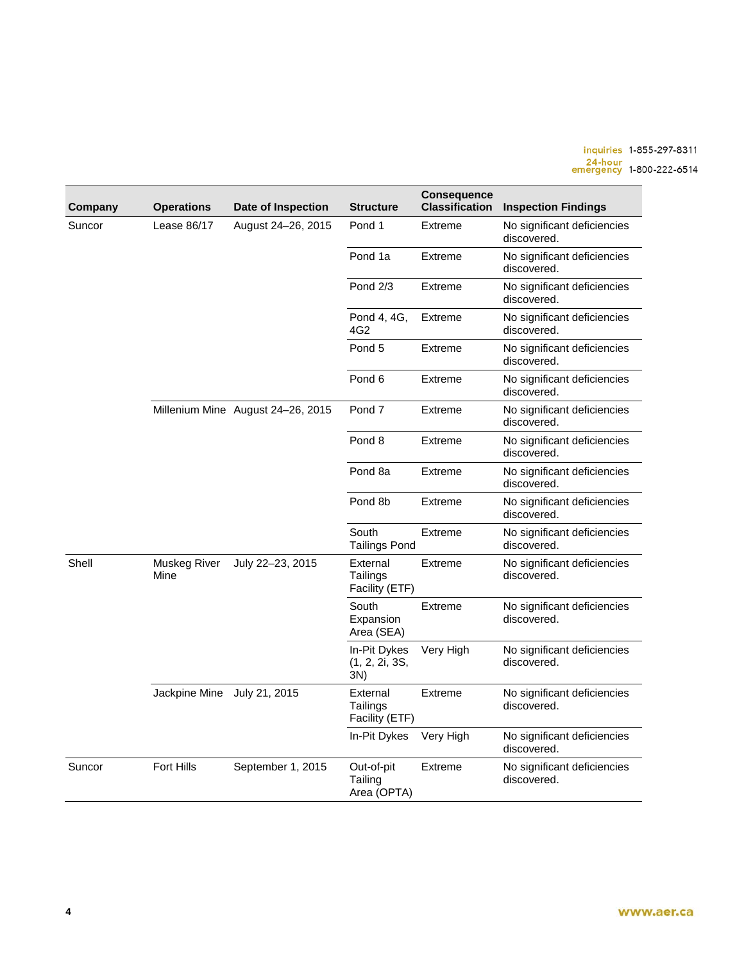## inquiries 1-855-297-8311<br>24-hour<br>emergency 1-800-222-6514

| Company | <b>Operations</b>           | Date of Inspection                | <b>Structure</b>                       | Consequence<br><b>Classification</b> | <b>Inspection Findings</b>                 |
|---------|-----------------------------|-----------------------------------|----------------------------------------|--------------------------------------|--------------------------------------------|
| Suncor  | Lease 86/17                 | August 24-26, 2015                | Pond 1                                 | Extreme                              | No significant deficiencies<br>discovered. |
|         |                             |                                   | Pond 1a                                | Extreme                              | No significant deficiencies<br>discovered. |
|         |                             |                                   | <b>Pond 2/3</b>                        | <b>Extreme</b>                       | No significant deficiencies<br>discovered. |
|         |                             |                                   | Pond 4, 4G,<br>4G2                     | Extreme                              | No significant deficiencies<br>discovered. |
|         |                             |                                   | Pond 5                                 | Extreme                              | No significant deficiencies<br>discovered. |
|         |                             |                                   | Pond <sub>6</sub>                      | Extreme                              | No significant deficiencies<br>discovered. |
|         |                             | Millenium Mine August 24-26, 2015 | Pond 7                                 | Extreme                              | No significant deficiencies<br>discovered. |
|         |                             |                                   | Pond 8                                 | Extreme                              | No significant deficiencies<br>discovered. |
|         |                             |                                   | Pond 8a                                | Extreme                              | No significant deficiencies<br>discovered. |
|         |                             |                                   | Pond 8b                                | Extreme                              | No significant deficiencies<br>discovered. |
|         |                             |                                   | South<br><b>Tailings Pond</b>          | Extreme                              | No significant deficiencies<br>discovered. |
| Shell   | Muskeg River<br>Mine        | July 22-23, 2015                  | External<br>Tailings<br>Facility (ETF) | Extreme                              | No significant deficiencies<br>discovered. |
|         |                             |                                   | South<br>Expansion<br>Area (SEA)       | Extreme                              | No significant deficiencies<br>discovered. |
|         |                             |                                   | In-Pit Dykes<br>(1, 2, 2i, 3S,<br>3N)  | Very High                            | No significant deficiencies<br>discovered. |
|         | Jackpine Mine July 21, 2015 |                                   | External<br>Tailings<br>Facility (ETF) | Extreme                              | No significant deficiencies<br>discovered. |
|         |                             |                                   | In-Pit Dykes                           | Very High                            | No significant deficiencies<br>discovered. |
| Suncor  | Fort Hills                  | September 1, 2015                 | Out-of-pit<br>Tailing<br>Area (OPTA)   | Extreme                              | No significant deficiencies<br>discovered. |